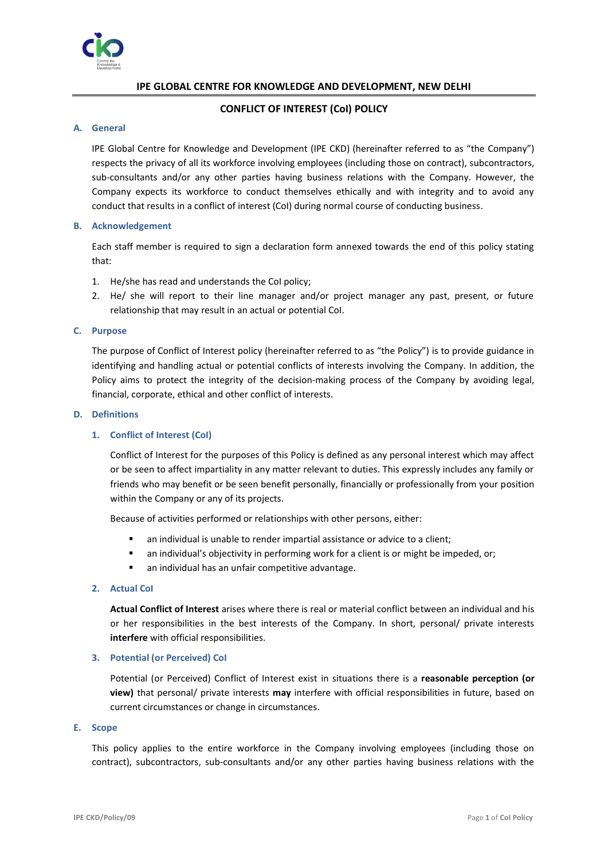

# **IPE GLOBAL CENTRE FOR KNOWLEDGE AND DEVELOPMENT, NEW DELHI**

# **CONFLICT OF INTEREST (CoI) POLICY**

# **A. General**

IPE Global Centre for Knowledge and Development (IPE CKD) (hereinafter referred to as "the Company") respects the privacy of all its workforce involving employees (including those on contract), subcontractors, sub-consultants and/or any other parties having business relations with the Company. However, the Company expects its workforce to conduct themselves ethically and with integrity and to avoid any conduct that results in a conflict of interest (CoI) during normal course of conducting business.

## **B. Acknowledgement**

Each staff member is required to sign a declaration form annexed towards the end of this policy stating that:

- 1. He/she has read and understands the CoI policy;
- 2. He/ she will report to their line manager and/or project manager any past, present, or future relationship that may result in an actual or potential CoI.

## **C. Purpose**

The purpose of Conflict of Interest policy (hereinafter referred to as "the Policy") is to provide guidance in identifying and handling actual or potential conflicts of interests involving the Company. In addition, the Policy aims to protect the integrity of the decision-making process of the Company by avoiding legal, financial, corporate, ethical and other conflict of interests.

## **D. Definitions**

## **1. Conflict of Interest (CoI)**

Conflict of Interest for the purposes of this Policy is defined as any personal interest which may affect or be seen to affect impartiality in any matter relevant to duties. This expressly includes any family or friends who may benefit or be seen benefit personally, financially or professionally from your position within the Company or any of its projects.

Because of activities performed or relationships with other persons, either:

- an individual is unable to render impartial assistance or advice to a client;
- an individual's objectivity in performing work for a client is or might be impeded, or;
- an individual has an unfair competitive advantage.
- **2. Actual CoI**

**Actual Conflict of Interest** arises where there is real or material conflict between an individual and his or her responsibilities in the best interests of the Company. In short, personal/ private interests **interfere** with official responsibilities.

### **3. Potential (or Perceived) CoI**

Potential (or Perceived) Conflict of Interest exist in situations there is a **reasonable perception (or view)** that personal/ private interests **may** interfere with official responsibilities in future, based on current circumstances or change in circumstances.

## **E. Scope**

This policy applies to the entire workforce in the Company involving employees (including those on contract), subcontractors, sub-consultants and/or any other parties having business relations with the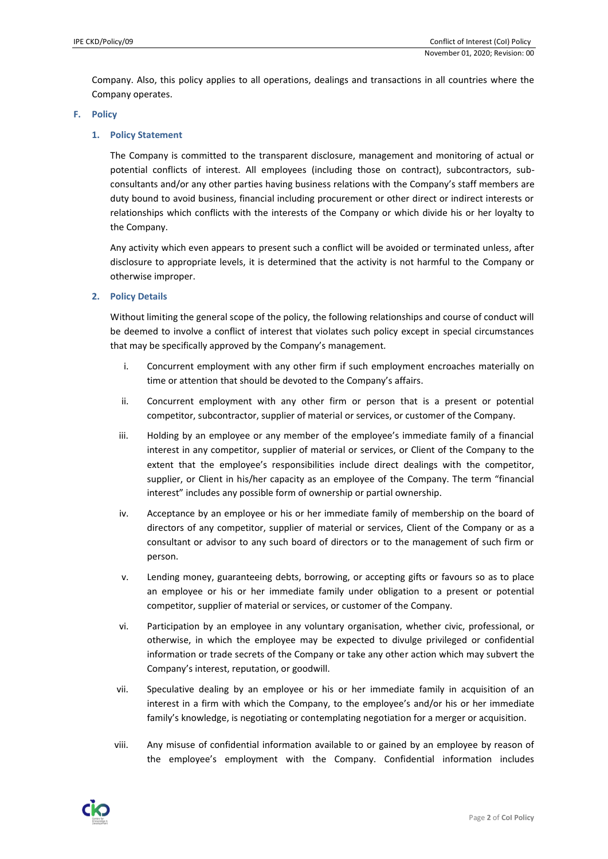Company. Also, this policy applies to all operations, dealings and transactions in all countries where the Company operates.

### **F. Policy**

## **1. Policy Statement**

The Company is committed to the transparent disclosure, management and monitoring of actual or potential conflicts of interest. All employees (including those on contract), subcontractors, subconsultants and/or any other parties having business relations with the Company's staff members are duty bound to avoid business, financial including procurement or other direct or indirect interests or relationships which conflicts with the interests of the Company or which divide his or her loyalty to the Company.

Any activity which even appears to present such a conflict will be avoided or terminated unless, after disclosure to appropriate levels, it is determined that the activity is not harmful to the Company or otherwise improper.

## **2. Policy Details**

Without limiting the general scope of the policy, the following relationships and course of conduct will be deemed to involve a conflict of interest that violates such policy except in special circumstances that may be specifically approved by the Company's management.

- i. Concurrent employment with any other firm if such employment encroaches materially on time or attention that should be devoted to the Company's affairs.
- ii. Concurrent employment with any other firm or person that is a present or potential competitor, subcontractor, supplier of material or services, or customer of the Company.
- iii. Holding by an employee or any member of the employee's immediate family of a financial interest in any competitor, supplier of material or services, or Client of the Company to the extent that the employee's responsibilities include direct dealings with the competitor, supplier, or Client in his/her capacity as an employee of the Company. The term "financial interest" includes any possible form of ownership or partial ownership.
- iv. Acceptance by an employee or his or her immediate family of membership on the board of directors of any competitor, supplier of material or services, Client of the Company or as a consultant or advisor to any such board of directors or to the management of such firm or person.
- v. Lending money, guaranteeing debts, borrowing, or accepting gifts or favours so as to place an employee or his or her immediate family under obligation to a present or potential competitor, supplier of material or services, or customer of the Company.
- vi. Participation by an employee in any voluntary organisation, whether civic, professional, or otherwise, in which the employee may be expected to divulge privileged or confidential information or trade secrets of the Company or take any other action which may subvert the Company's interest, reputation, or goodwill.
- vii. Speculative dealing by an employee or his or her immediate family in acquisition of an interest in a firm with which the Company, to the employee's and/or his or her immediate family's knowledge, is negotiating or contemplating negotiation for a merger or acquisition.
- viii. Any misuse of confidential information available to or gained by an employee by reason of the employee's employment with the Company. Confidential information includes

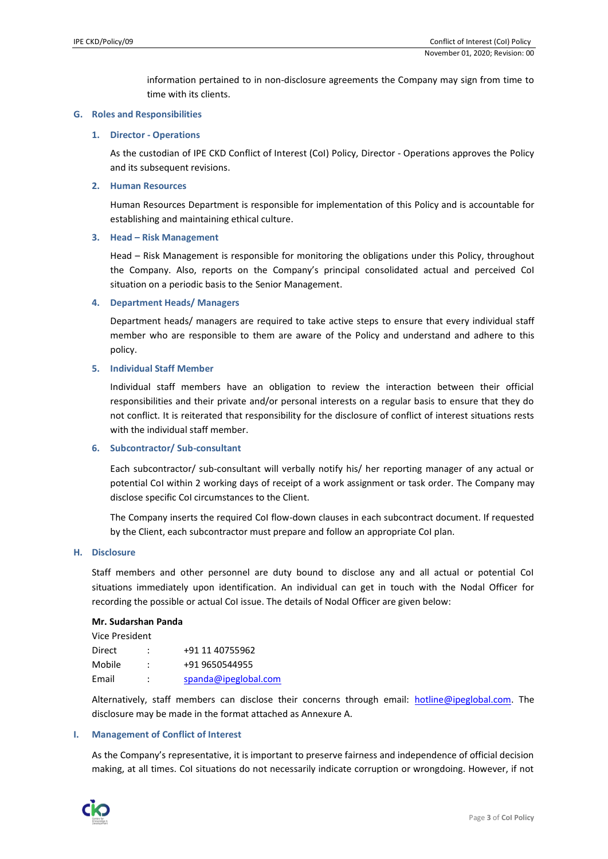information pertained to in non-disclosure agreements the Company may sign from time to time with its clients.

### **G. Roles and Responsibilities**

### **1. Director - Operations**

As the custodian of IPE CKD Conflict of Interest (CoI) Policy, Director - Operations approves the Policy and its subsequent revisions.

### **2. Human Resources**

Human Resources Department is responsible for implementation of this Policy and is accountable for establishing and maintaining ethical culture.

## **3. Head – Risk Management**

Head – Risk Management is responsible for monitoring the obligations under this Policy, throughout the Company. Also, reports on the Company's principal consolidated actual and perceived CoI situation on a periodic basis to the Senior Management.

**4. Department Heads/ Managers**

Department heads/ managers are required to take active steps to ensure that every individual staff member who are responsible to them are aware of the Policy and understand and adhere to this policy.

## **5. Individual Staff Member**

Individual staff members have an obligation to review the interaction between their official responsibilities and their private and/or personal interests on a regular basis to ensure that they do not conflict. It is reiterated that responsibility for the disclosure of conflict of interest situations rests with the individual staff member.

### **6. Subcontractor/ Sub-consultant**

Each subcontractor/ sub-consultant will verbally notify his/ her reporting manager of any actual or potential CoI within 2 working days of receipt of a work assignment or task order. The Company may disclose specific CoI circumstances to the Client.

The Company inserts the required CoI flow-down clauses in each subcontract document. If requested by the Client, each subcontractor must prepare and follow an appropriate CoI plan.

## **H. Disclosure**

Staff members and other personnel are duty bound to disclose any and all actual or potential CoI situations immediately upon identification. An individual can get in touch with the Nodal Officer for recording the possible or actual CoI issue. The details of Nodal Officer are given below:

### **Mr. Sudarshan Panda**

| Vice President |   |                      |
|----------------|---|----------------------|
| Direct         |   | +91 11 40755962      |
| Mobile         | ÷ | +91 9650544955       |
| Email          | ÷ | spanda@ipeglobal.com |

Alternatively, staff members can disclose their concerns through email: [hotline@ipeglobal.com.](mailto:hotline@ipeglobal.com) The disclosure may be made in the format attached as Annexure A.

### **I. Management of Conflict of Interest**

As the Company's representative, it is important to preserve fairness and independence of official decision making, at all times. CoI situations do not necessarily indicate corruption or wrongdoing. However, if not

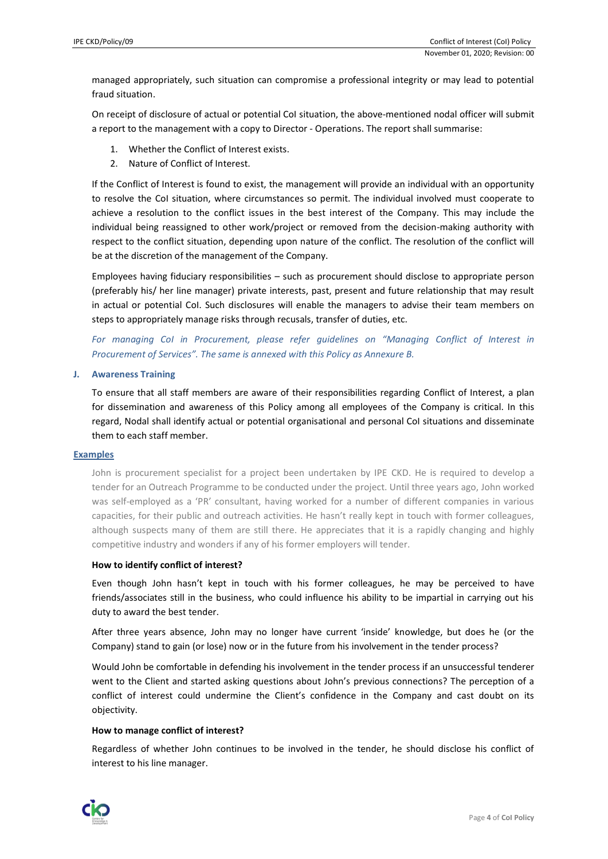managed appropriately, such situation can compromise a professional integrity or may lead to potential fraud situation.

On receipt of disclosure of actual or potential CoI situation, the above-mentioned nodal officer will submit a report to the management with a copy to Director - Operations. The report shall summarise:

- 1. Whether the Conflict of Interest exists.
- 2. Nature of Conflict of Interest.

If the Conflict of Interest is found to exist, the management will provide an individual with an opportunity to resolve the CoI situation, where circumstances so permit. The individual involved must cooperate to achieve a resolution to the conflict issues in the best interest of the Company. This may include the individual being reassigned to other work/project or removed from the decision-making authority with respect to the conflict situation, depending upon nature of the conflict. The resolution of the conflict will be at the discretion of the management of the Company.

Employees having fiduciary responsibilities – such as procurement should disclose to appropriate person (preferably his/ her line manager) private interests, past, present and future relationship that may result in actual or potential CoI. Such disclosures will enable the managers to advise their team members on steps to appropriately manage risks through recusals, transfer of duties, etc.

*For managing CoI in Procurement, please refer guidelines on "Managing Conflict of Interest in Procurement of Services". The same is annexed with this Policy as Annexure B.*

## **J. Awareness Training**

To ensure that all staff members are aware of their responsibilities regarding Conflict of Interest, a plan for dissemination and awareness of this Policy among all employees of the Company is critical. In this regard, Nodal shall identify actual or potential organisational and personal CoI situations and disseminate them to each staff member.

### **Examples**

John is procurement specialist for a project been undertaken by IPE CKD. He is required to develop a tender for an Outreach Programme to be conducted under the project. Until three years ago, John worked was self-employed as a 'PR' consultant, having worked for a number of different companies in various capacities, for their public and outreach activities. He hasn't really kept in touch with former colleagues, although suspects many of them are still there. He appreciates that it is a rapidly changing and highly competitive industry and wonders if any of his former employers will tender.

## **How to identify conflict of interest?**

Even though John hasn't kept in touch with his former colleagues, he may be perceived to have friends/associates still in the business, who could influence his ability to be impartial in carrying out his duty to award the best tender.

After three years absence, John may no longer have current 'inside' knowledge, but does he (or the Company) stand to gain (or lose) now or in the future from his involvement in the tender process?

Would John be comfortable in defending his involvement in the tender process if an unsuccessful tenderer went to the Client and started asking questions about John's previous connections? The perception of a conflict of interest could undermine the Client's confidence in the Company and cast doubt on its objectivity.

### **How to manage conflict of interest?**

Regardless of whether John continues to be involved in the tender, he should disclose his conflict of interest to his line manager.

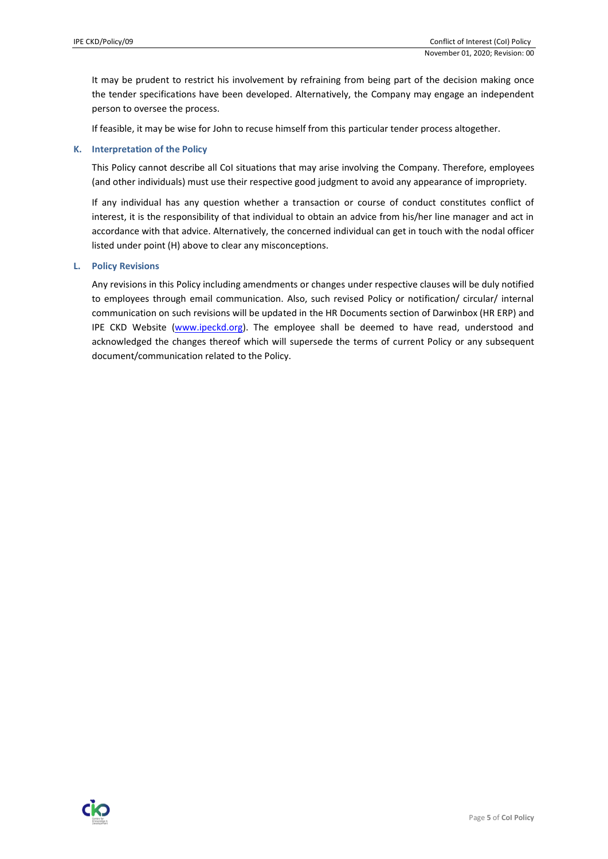It may be prudent to restrict his involvement by refraining from being part of the decision making once the tender specifications have been developed. Alternatively, the Company may engage an independent person to oversee the process.

If feasible, it may be wise for John to recuse himself from this particular tender process altogether.

## **K. Interpretation of the Policy**

This Policy cannot describe all CoI situations that may arise involving the Company. Therefore, employees (and other individuals) must use their respective good judgment to avoid any appearance of impropriety.

If any individual has any question whether a transaction or course of conduct constitutes conflict of interest, it is the responsibility of that individual to obtain an advice from his/her line manager and act in accordance with that advice. Alternatively, the concerned individual can get in touch with the nodal officer listed under point (H) above to clear any misconceptions.

### **L. Policy Revisions**

Any revisions in this Policy including amendments or changes under respective clauses will be duly notified to employees through email communication. Also, such revised Policy or notification/ circular/ internal communication on such revisions will be updated in the HR Documents section of Darwinbox (HR ERP) and IPE CKD Website [\(www.ipeckd.org\)](http://www.ipeckd.org/). The employee shall be deemed to have read, understood and acknowledged the changes thereof which will supersede the terms of current Policy or any subsequent document/communication related to the Policy.

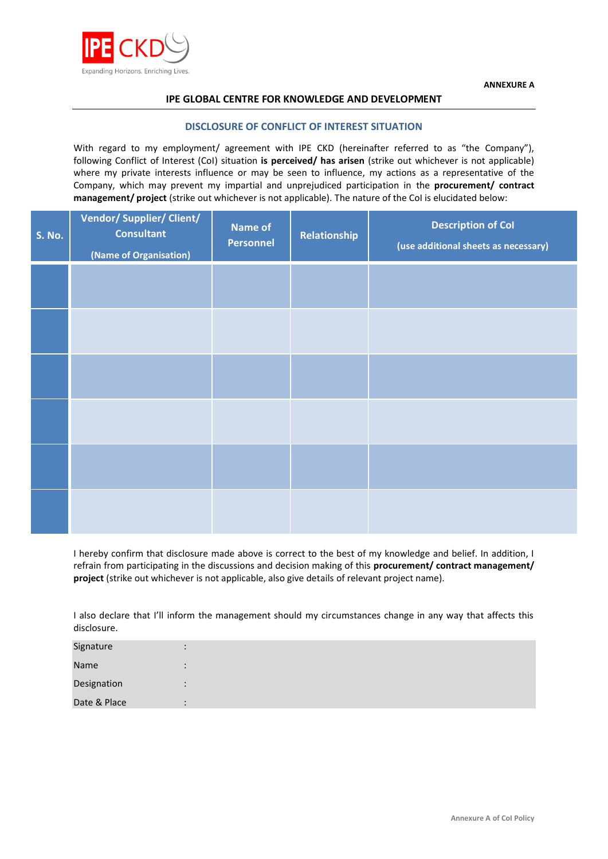

# **IPE GLOBAL CENTRE FOR KNOWLEDGE AND DEVELOPMENT**

## **DISCLOSURE OF CONFLICT OF INTEREST SITUATION**

With regard to my employment/ agreement with IPE CKD (hereinafter referred to as "the Company"), following Conflict of Interest (CoI) situation **is perceived/ has arisen** (strike out whichever is not applicable) where my private interests influence or may be seen to influence, my actions as a representative of the Company, which may prevent my impartial and unprejudiced participation in the **procurement/ contract management/ project** (strike out whichever is not applicable). The nature of the CoI is elucidated below:

| <b>S. No.</b> | <b>Vendor/ Supplier/ Client/</b><br><b>Consultant</b><br>(Name of Organisation) | <b>Name of</b><br><b>Personnel</b> | Relationship | <b>Description of Col</b><br>(use additional sheets as necessary) |
|---------------|---------------------------------------------------------------------------------|------------------------------------|--------------|-------------------------------------------------------------------|
|               |                                                                                 |                                    |              |                                                                   |
|               |                                                                                 |                                    |              |                                                                   |
|               |                                                                                 |                                    |              |                                                                   |
|               |                                                                                 |                                    |              |                                                                   |
|               |                                                                                 |                                    |              |                                                                   |
|               |                                                                                 |                                    |              |                                                                   |

I hereby confirm that disclosure made above is correct to the best of my knowledge and belief. In addition, I refrain from participating in the discussions and decision making of this **procurement/ contract management/ project** (strike out whichever is not applicable, also give details of relevant project name).

I also declare that I'll inform the management should my circumstances change in any way that affects this disclosure.

| Signature    | $\bullet$ |
|--------------|-----------|
| Name         | $\bullet$ |
| Designation  | $\bullet$ |
| Date & Place |           |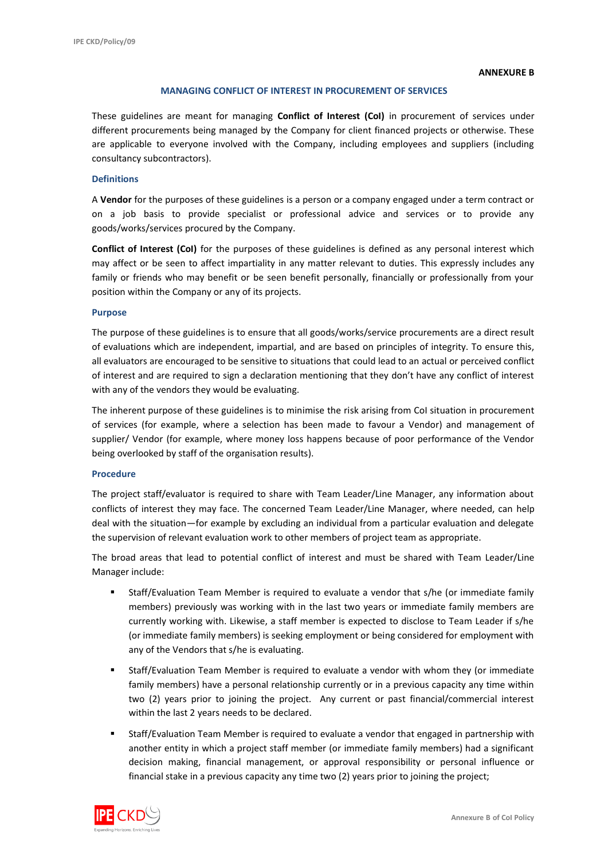## **MANAGING CONFLICT OF INTEREST IN PROCUREMENT OF SERVICES**

These guidelines are meant for managing **Conflict of Interest (CoI)** in procurement of services under different procurements being managed by the Company for client financed projects or otherwise. These are applicable to everyone involved with the Company, including employees and suppliers (including consultancy subcontractors).

### **Definitions**

A **Vendor** for the purposes of these guidelines is a person or a company engaged under a term contract or on a job basis to provide specialist or professional advice and services or to provide any goods/works/services procured by the Company.

**Conflict of Interest (CoI)** for the purposes of these guidelines is defined as any personal interest which may affect or be seen to affect impartiality in any matter relevant to duties. This expressly includes any family or friends who may benefit or be seen benefit personally, financially or professionally from your position within the Company or any of its projects.

### **Purpose**

The purpose of these guidelines is to ensure that all goods/works/service procurements are a direct result of evaluations which are independent, impartial, and are based on principles of integrity. To ensure this, all evaluators are encouraged to be sensitive to situations that could lead to an actual or perceived conflict of interest and are required to sign a declaration mentioning that they don't have any conflict of interest with any of the vendors they would be evaluating.

The inherent purpose of these guidelines is to minimise the risk arising from CoI situation in procurement of services (for example, where a selection has been made to favour a Vendor) and management of supplier/ Vendor (for example, where money loss happens because of poor performance of the Vendor being overlooked by staff of the organisation results).

### **Procedure**

The project staff/evaluator is required to share with Team Leader/Line Manager, any information about conflicts of interest they may face. The concerned Team Leader/Line Manager, where needed, can help deal with the situation—for example by excluding an individual from a particular evaluation and delegate the supervision of relevant evaluation work to other members of project team as appropriate.

The broad areas that lead to potential conflict of interest and must be shared with Team Leader/Line Manager include:

- Staff/Evaluation Team Member is required to evaluate a vendor that s/he (or immediate family members) previously was working with in the last two years or immediate family members are currently working with. Likewise, a staff member is expected to disclose to Team Leader if s/he (or immediate family members) is seeking employment or being considered for employment with any of the Vendors that s/he is evaluating.
- Staff/Evaluation Team Member is required to evaluate a vendor with whom they (or immediate family members) have a personal relationship currently or in a previous capacity any time within two (2) years prior to joining the project. Any current or past financial/commercial interest within the last 2 years needs to be declared.
- Staff/Evaluation Team Member is required to evaluate a vendor that engaged in partnership with another entity in which a project staff member (or immediate family members) had a significant decision making, financial management, or approval responsibility or personal influence or financial stake in a previous capacity any time two (2) years prior to joining the project;

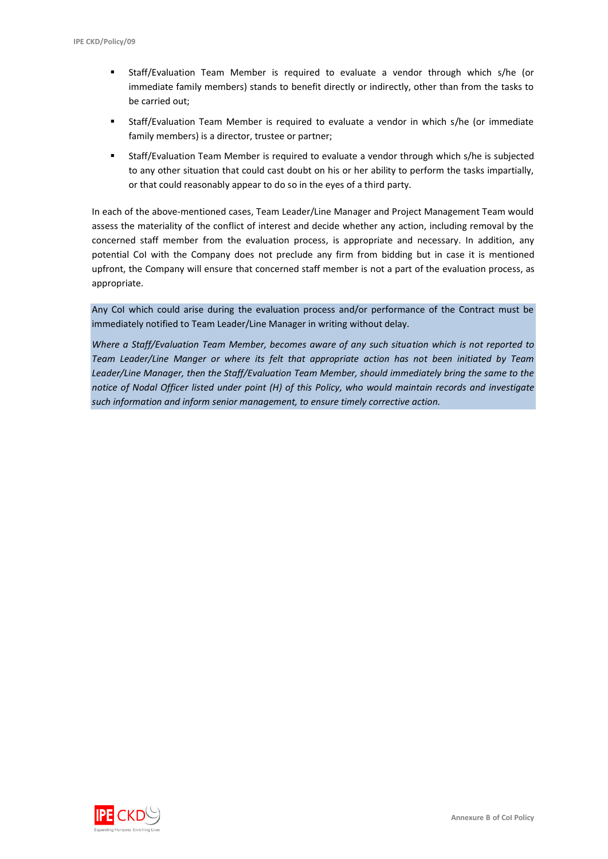- Staff/Evaluation Team Member is required to evaluate a vendor through which s/he (or immediate family members) stands to benefit directly or indirectly, other than from the tasks to be carried out;
- Staff/Evaluation Team Member is required to evaluate a vendor in which s/he (or immediate family members) is a director, trustee or partner;
- Staff/Evaluation Team Member is required to evaluate a vendor through which s/he is subjected to any other situation that could cast doubt on his or her ability to perform the tasks impartially, or that could reasonably appear to do so in the eyes of a third party.

In each of the above-mentioned cases, Team Leader/Line Manager and Project Management Team would assess the materiality of the conflict of interest and decide whether any action, including removal by the concerned staff member from the evaluation process, is appropriate and necessary. In addition, any potential CoI with the Company does not preclude any firm from bidding but in case it is mentioned upfront, the Company will ensure that concerned staff member is not a part of the evaluation process, as appropriate.

Any CoI which could arise during the evaluation process and/or performance of the Contract must be immediately notified to Team Leader/Line Manager in writing without delay.

*Where a Staff/Evaluation Team Member, becomes aware of any such situation which is not reported to Team Leader/Line Manger or where its felt that appropriate action has not been initiated by Team Leader/Line Manager, then the Staff/Evaluation Team Member, should immediately bring the same to the notice of Nodal Officer listed under point (H) of this Policy, who would maintain records and investigate such information and inform senior management, to ensure timely corrective action.*